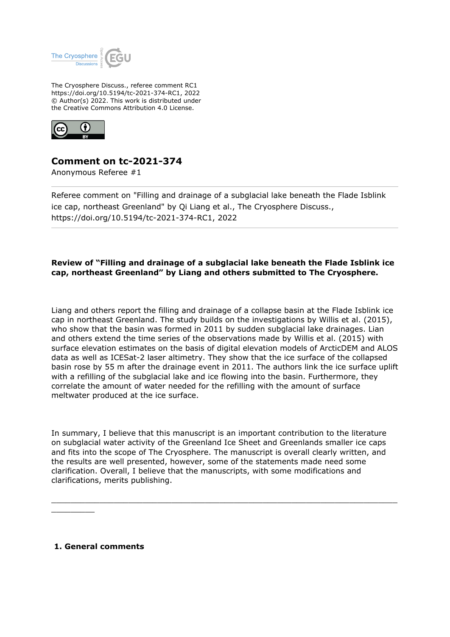

The Cryosphere Discuss., referee comment RC1 https://doi.org/10.5194/tc-2021-374-RC1, 2022 © Author(s) 2022. This work is distributed under the Creative Commons Attribution 4.0 License.



## **Comment on tc-2021-374**

Anonymous Referee #1

Referee comment on "Filling and drainage of a subglacial lake beneath the Flade Isblink ice cap, northeast Greenland" by Qi Liang et al., The Cryosphere Discuss., https://doi.org/10.5194/tc-2021-374-RC1, 2022

## **Review of "Filling and drainage of a subglacial lake beneath the Flade Isblink ice cap, northeast Greenland" by Liang and others submitted to The Cryosphere.**

Liang and others report the filling and drainage of a collapse basin at the Flade Isblink ice cap in northeast Greenland. The study builds on the investigations by Willis et al. (2015), who show that the basin was formed in 2011 by sudden subglacial lake drainages. Lian and others extend the time series of the observations made by Willis et al. (2015) with surface elevation estimates on the basis of digital elevation models of ArcticDEM and ALOS data as well as ICESat-2 laser altimetry. They show that the ice surface of the collapsed basin rose by 55 m after the drainage event in 2011. The authors link the ice surface uplift with a refilling of the subglacial lake and ice flowing into the basin. Furthermore, they correlate the amount of water needed for the refilling with the amount of surface meltwater produced at the ice surface.

In summary, I believe that this manuscript is an important contribution to the literature on subglacial water activity of the Greenland Ice Sheet and Greenlands smaller ice caps and fits into the scope of The Cryosphere. The manuscript is overall clearly written, and the results are well presented, however, some of the statements made need some clarification. Overall, I believe that the manuscripts, with some modifications and clarifications, merits publishing.

 $\_$  , and the set of the set of the set of the set of the set of the set of the set of the set of the set of the set of the set of the set of the set of the set of the set of the set of the set of the set of the set of th

 **1. General comments**

 $\mathcal{L}=\mathcal{L}$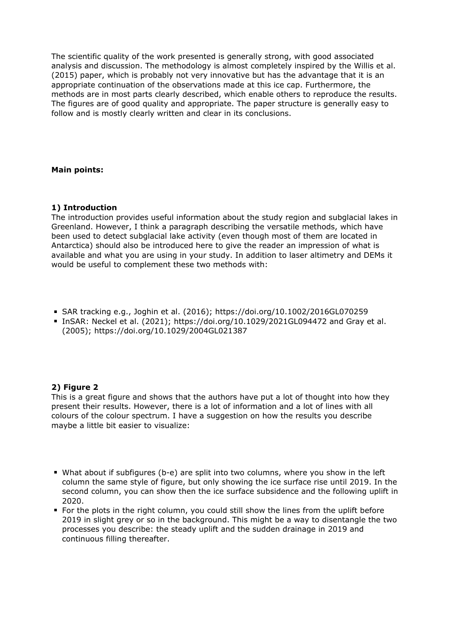The scientific quality of the work presented is generally strong, with good associated analysis and discussion. The methodology is almost completely inspired by the Willis et al. (2015) paper, which is probably not very innovative but has the advantage that it is an appropriate continuation of the observations made at this ice cap. Furthermore, the methods are in most parts clearly described, which enable others to reproduce the results. The figures are of good quality and appropriate. The paper structure is generally easy to follow and is mostly clearly written and clear in its conclusions.

## **Main points:**

#### **1) Introduction**

The introduction provides useful information about the study region and subglacial lakes in Greenland. However, I think a paragraph describing the versatile methods, which have been used to detect subglacial lake activity (even though most of them are located in Antarctica) should also be introduced here to give the reader an impression of what is available and what you are using in your study. In addition to laser altimetry and DEMs it would be useful to complement these two methods with:

- SAR tracking e.g., Joghin et al. (2016); https://doi.org/10.1002/2016GL070259
- InSAR: Neckel et al. (2021); https://doi.org/10.1029/2021GL094472 and Gray et al. (2005); https://doi.org/10.1029/2004GL021387

#### **2) Figure 2**

This is a great figure and shows that the authors have put a lot of thought into how they present their results. However, there is a lot of information and a lot of lines with all colours of the colour spectrum. I have a suggestion on how the results you describe maybe a little bit easier to visualize:

- What about if subfigures (b-e) are split into two columns, where you show in the left column the same style of figure, but only showing the ice surface rise until 2019. In the second column, you can show then the ice surface subsidence and the following uplift in 2020.
- For the plots in the right column, you could still show the lines from the uplift before 2019 in slight grey or so in the background. This might be a way to disentangle the two processes you describe: the steady uplift and the sudden drainage in 2019 and continuous filling thereafter.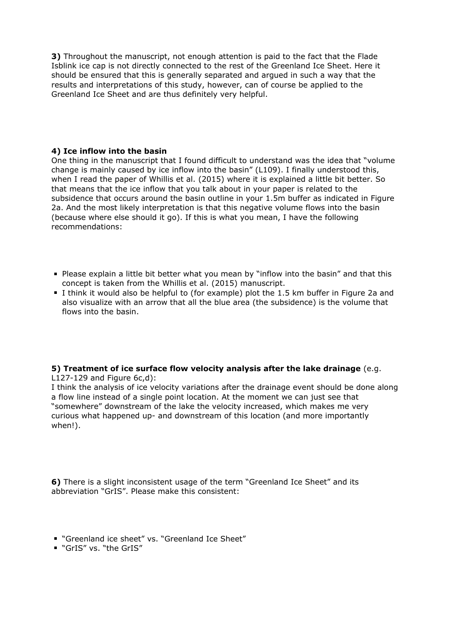**3)** Throughout the manuscript, not enough attention is paid to the fact that the Flade Isblink ice cap is not directly connected to the rest of the Greenland Ice Sheet. Here it should be ensured that this is generally separated and argued in such a way that the results and interpretations of this study, however, can of course be applied to the Greenland Ice Sheet and are thus definitely very helpful.

#### **4) Ice inflow into the basin**

One thing in the manuscript that I found difficult to understand was the idea that "volume change is mainly caused by ice inflow into the basin" (L109). I finally understood this, when I read the paper of Whillis et al. (2015) where it is explained a little bit better. So that means that the ice inflow that you talk about in your paper is related to the subsidence that occurs around the basin outline in your 1.5m buffer as indicated in Figure 2a. And the most likely interpretation is that this negative volume flows into the basin (because where else should it go). If this is what you mean, I have the following recommendations:

- **Please explain a little bit better what you mean by "inflow into the basin" and that this** concept is taken from the Whillis et al. (2015) manuscript.
- I think it would also be helpful to (for example) plot the 1.5 km buffer in Figure 2a and also visualize with an arrow that all the blue area (the subsidence) is the volume that flows into the basin.

# **5) Treatment of ice surface flow velocity analysis after the lake drainage** (e.g.

L127-129 and Figure 6c,d):

I think the analysis of ice velocity variations after the drainage event should be done along a flow line instead of a single point location. At the moment we can just see that "somewhere" downstream of the lake the velocity increased, which makes me very curious what happened up- and downstream of this location (and more importantly when!).

**6)** There is a slight inconsistent usage of the term "Greenland Ice Sheet" and its abbreviation "GrIS". Please make this consistent:

- "Greenland ice sheet" vs. "Greenland Ice Sheet"
- "GrIS" vs. "the GrIS"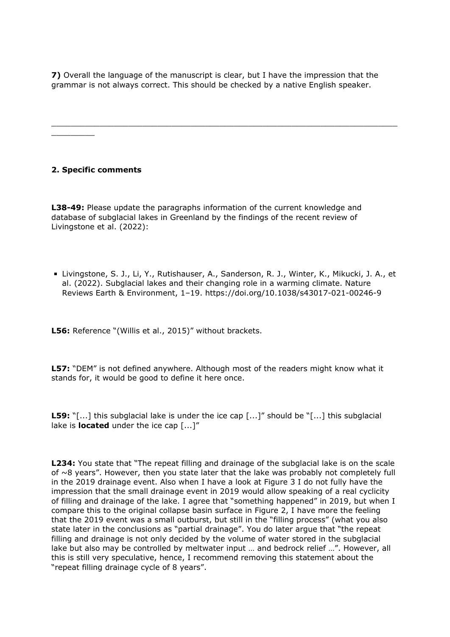**7)** Overall the language of the manuscript is clear, but I have the impression that the grammar is not always correct. This should be checked by a native English speaker.

 $\_$  , and the set of the set of the set of the set of the set of the set of the set of the set of the set of the set of the set of the set of the set of the set of the set of the set of the set of the set of the set of th

## **2. Specific comments**

 $\mathcal{L}=\mathcal{L}$ 

**L38-49:** Please update the paragraphs information of the current knowledge and database of subglacial lakes in Greenland by the findings of the recent review of Livingstone et al. (2022):

Livingstone, S. J., Li, Y., Rutishauser, A., Sanderson, R. J., Winter, K., Mikucki, J. A., et al. (2022). Subglacial lakes and their changing role in a warming climate. Nature Reviews Earth & Environment, 1–19. https://doi.org/10.1038/s43017-021-00246-9

**L56:** Reference "(Willis et al., 2015)" without brackets.

**L57:** "DEM" is not defined anywhere. Although most of the readers might know what it stands for, it would be good to define it here once.

**L59:** "[...] this subglacial lake is under the ice cap [...]" should be "[...] this subglacial lake is **located** under the ice cap [...]"

**L234:** You state that "The repeat filling and drainage of the subglacial lake is on the scale of  $\sim$ 8 years". However, then you state later that the lake was probably not completely full in the 2019 drainage event. Also when I have a look at Figure 3 I do not fully have the impression that the small drainage event in 2019 would allow speaking of a real cyclicity of filling and drainage of the lake. I agree that "something happened" in 2019, but when I compare this to the original collapse basin surface in Figure 2, I have more the feeling that the 2019 event was a small outburst, but still in the "filling process" (what you also state later in the conclusions as "partial drainage". You do later argue that "the repeat filling and drainage is not only decided by the volume of water stored in the subglacial lake but also may be controlled by meltwater input … and bedrock relief …". However, all this is still very speculative, hence, I recommend removing this statement about the "repeat filling drainage cycle of 8 years".